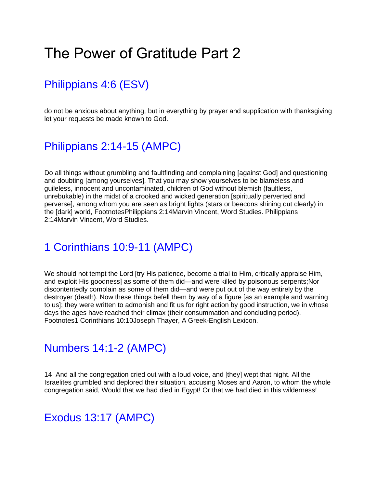# The Power of Gratitude Part 2

## [Philippians 4:6 \(ESV\)](https://www.biblegateway.com/passage/?search=Philippians%204%3A6&version=ESV)

do not be anxious about anything, but in everything by prayer and supplication with thanksgiving let your requests be made known to God.

## [Philippians 2:14-15 \(AMPC\)](https://www.biblegateway.com/passage/?search=Philippians%202%3A14-15&version=AMPC)

Do all things without grumbling and faultfinding and complaining [against God] and questioning and doubting [among yourselves], That you may show yourselves to be blameless and guileless, innocent and uncontaminated, children of God without blemish (faultless, unrebukable) in the midst of a crooked and wicked generation [spiritually perverted and perverse], among whom you are seen as bright lights (stars or beacons shining out clearly) in the [dark] world, FootnotesPhilippians 2:14Marvin Vincent, Word Studies. Philippians 2:14Marvin Vincent, Word Studies.

#### [1 Corinthians 10:9-11 \(AMPC\)](https://www.biblegateway.com/passage/?search=1%20Corinthians%2010%3A9-11&version=AMPC)

We should not tempt the Lord [try His patience, become a trial to Him, critically appraise Him, and exploit His goodness] as some of them did—and were killed by poisonous serpents;Nor discontentedly complain as some of them did—and were put out of the way entirely by the destroyer (death). Now these things befell them by way of a figure [as an example and warning to us]; they were written to admonish and fit us for right action by good instruction, we in whose days the ages have reached their climax (their consummation and concluding period). Footnotes1 Corinthians 10:10Joseph Thayer, A Greek-English Lexicon.

#### [Numbers 14:1-2 \(AMPC\)](https://www.biblegateway.com/passage/?search=Numbers%2014%3A1-2&version=AMPC)

14 And all the congregation cried out with a loud voice, and [they] wept that night. All the Israelites grumbled and deplored their situation, accusing Moses and Aaron, to whom the whole congregation said, Would that we had died in Egypt! Or that we had died in this wilderness!

#### [Exodus 13:17 \(AMPC\)](https://www.biblegateway.com/passage/?search=Exodus%2013%3A17&version=AMPC)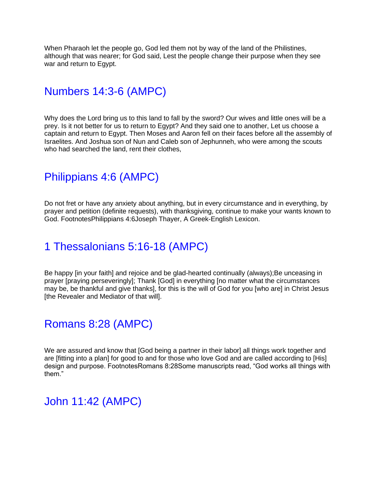When Pharaoh let the people go, God led them not by way of the land of the Philistines, although that was nearer; for God said, Lest the people change their purpose when they see war and return to Egypt.

## [Numbers 14:3-6 \(AMPC\)](https://www.biblegateway.com/passage/?search=Numbers%2014%3A3-6&version=AMPC)

Why does the Lord bring us to this land to fall by the sword? Our wives and little ones will be a prey. Is it not better for us to return to Egypt? And they said one to another, Let us choose a captain and return to Egypt. Then Moses and Aaron fell on their faces before all the assembly of Israelites. And Joshua son of Nun and Caleb son of Jephunneh, who were among the scouts who had searched the land, rent their clothes,

## [Philippians 4:6 \(AMPC\)](https://www.biblegateway.com/passage/?search=Philippians%204%3A6&version=AMPC)

Do not fret or have any anxiety about anything, but in every circumstance and in everything, by prayer and petition (definite requests), with thanksgiving, continue to make your wants known to God. FootnotesPhilippians 4:6Joseph Thayer, A Greek-English Lexicon.

## [1 Thessalonians 5:16-18 \(AMPC\)](https://www.biblegateway.com/passage/?search=1%20Thessalonians%205%3A16-18&version=AMPC)

Be happy [in your faith] and rejoice and be glad-hearted continually (always); Be unceasing in prayer [praying perseveringly]; Thank [God] in everything [no matter what the circumstances may be, be thankful and give thanks], for this is the will of God for you [who are] in Christ Jesus [the Revealer and Mediator of that will].

## [Romans 8:28 \(AMPC\)](https://www.biblegateway.com/passage/?search=Romans%208%3A28&version=AMPC)

We are assured and know that [God being a partner in their labor] all things work together and are [fitting into a plan] for good to and for those who love God and are called according to [His] design and purpose. FootnotesRomans 8:28Some manuscripts read, "God works all things with them."

## [John 11:42 \(AMPC\)](https://www.biblegateway.com/passage/?search=John%2011%3A42&version=AMPC)